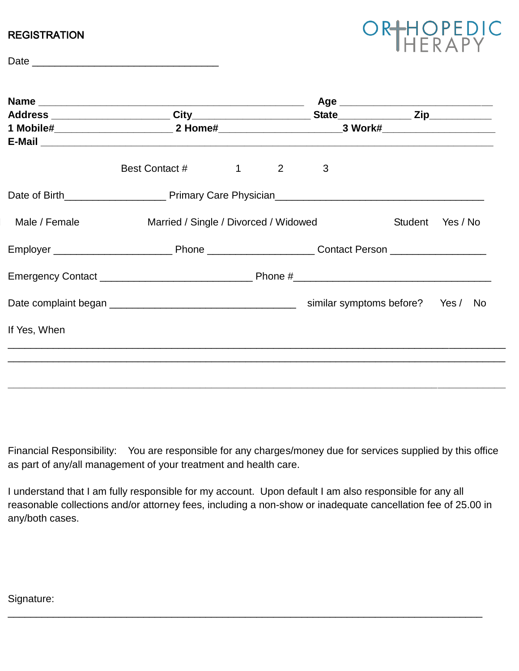## **REGISTRATION**

| ORHOPEDIC |  |  |  |  |  |
|-----------|--|--|--|--|--|
|           |  |  |  |  |  |

| 1 Mobile#________________________________2 Home#________________________________3 Work#______________________ |                                       |                        |                                |   |                                   |  |
|---------------------------------------------------------------------------------------------------------------|---------------------------------------|------------------------|--------------------------------|---|-----------------------------------|--|
|                                                                                                               |                                       |                        |                                |   |                                   |  |
|                                                                                                               | Best Contact #                        | $1 \quad \blacksquare$ | $2 \left( \frac{1}{2} \right)$ | 3 |                                   |  |
|                                                                                                               |                                       |                        |                                |   |                                   |  |
| Male / Female                                                                                                 | Married / Single / Divorced / Widowed |                        |                                |   | Student Yes / No                  |  |
|                                                                                                               |                                       |                        |                                |   |                                   |  |
|                                                                                                               |                                       |                        |                                |   |                                   |  |
|                                                                                                               |                                       |                        |                                |   | similar symptoms before? Yes / No |  |
| If Yes, When                                                                                                  |                                       |                        |                                |   |                                   |  |
|                                                                                                               |                                       |                        |                                |   |                                   |  |
|                                                                                                               |                                       |                        |                                |   |                                   |  |

Financial Responsibility: You are responsible for any charges/money due for services supplied by this office as part of any/all management of your treatment and health care.

I understand that I am fully responsible for my account. Upon default I am also responsible for any all reasonable collections and/or attorney fees, including a non-show or inadequate cancellation fee of 25.00 in any/both cases.

\_\_\_\_\_\_\_\_\_\_\_\_\_\_\_\_\_\_\_\_\_\_\_\_\_\_\_\_\_\_\_\_\_\_\_\_\_\_\_\_\_\_\_\_\_\_\_\_\_\_\_\_\_\_\_\_\_\_\_\_\_\_\_\_\_\_\_\_\_\_\_\_\_\_\_\_\_\_\_\_\_\_\_\_

Signature: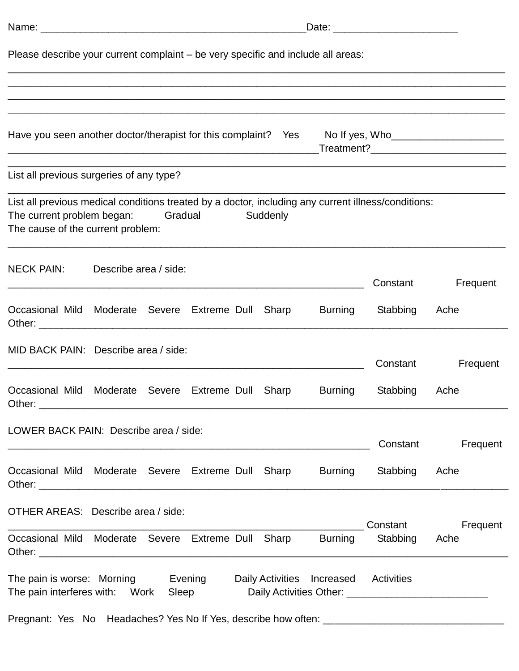| Please describe your current complaint – be very specific and include all areas:                                                                                       |                       |  |         |  |          |         |               |                                                                                       |
|------------------------------------------------------------------------------------------------------------------------------------------------------------------------|-----------------------|--|---------|--|----------|---------|---------------|---------------------------------------------------------------------------------------|
|                                                                                                                                                                        |                       |  |         |  |          |         |               |                                                                                       |
| Have you seen another doctor/therapist for this complaint? Yes                                                                                                         |                       |  |         |  |          |         |               | No If yes, Who________________________<br>_Treatment?________________________________ |
| List all previous surgeries of any type?                                                                                                                               |                       |  |         |  |          |         |               |                                                                                       |
| List all previous medical conditions treated by a doctor, including any current illness/conditions:<br>The current problem began:<br>The cause of the current problem: |                       |  | Gradual |  | Suddenly |         |               |                                                                                       |
| <b>NECK PAIN:</b>                                                                                                                                                      | Describe area / side: |  |         |  |          |         | Constant      | Frequent                                                                              |
| Occasional Mild Moderate Severe Extreme Dull Sharp                                                                                                                     |                       |  |         |  |          | Burning | Stabbing      | Ache                                                                                  |
| MID BACK PAIN: Describe area / side:                                                                                                                                   |                       |  |         |  |          |         | Constant      | Frequent                                                                              |
| Occasional Mild Moderate Severe Extreme Dull Sharp                                                                                                                     |                       |  |         |  |          | Burning | Stabbing      | Ache                                                                                  |
| LOWER BACK PAIN: Describe area / side:                                                                                                                                 |                       |  |         |  |          |         | Constant      | Frequent                                                                              |
| Occasional Mild Moderate Severe Extreme Dull Sharp Burning Stabbing Ache                                                                                               |                       |  |         |  |          |         |               |                                                                                       |
| OTHER AREAS: Describe area / side:                                                                                                                                     |                       |  |         |  |          |         | Constant      | Frequent                                                                              |
| Occasional Mild Moderate Severe Extreme Dull Sharp Burning                                                                                                             |                       |  |         |  |          |         | Stabbing Ache |                                                                                       |
| The pain is worse: Morning Evening Daily Activities Increased Activities<br>The pain interferes with: Work Sleep Daily Activities Other: ____________________          |                       |  |         |  |          |         |               |                                                                                       |
|                                                                                                                                                                        |                       |  |         |  |          |         |               |                                                                                       |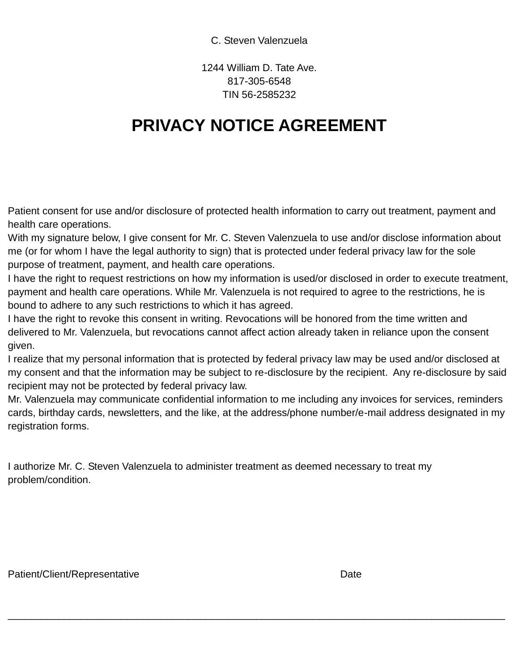## C. Steven Valenzuela

1244 William D. Tate Ave. 817-305-6548 TIN 56-2585232

## **PRIVACY NOTICE AGREEMENT**

Patient consent for use and/or disclosure of protected health information to carry out treatment, payment and health care operations.

With my signature below, I give consent for Mr. C. Steven Valenzuela to use and/or disclose information about me (or for whom I have the legal authority to sign) that is protected under federal privacy law for the sole purpose of treatment, payment, and health care operations.

I have the right to request restrictions on how my information is used/or disclosed in order to execute treatment, payment and health care operations. While Mr. Valenzuela is not required to agree to the restrictions, he is bound to adhere to any such restrictions to which it has agreed.

I have the right to revoke this consent in writing. Revocations will be honored from the time written and delivered to Mr. Valenzuela, but revocations cannot affect action already taken in reliance upon the consent given.

I realize that my personal information that is protected by federal privacy law may be used and/or disclosed at my consent and that the information may be subject to re-disclosure by the recipient. Any re-disclosure by said recipient may not be protected by federal privacy law.

Mr. Valenzuela may communicate confidential information to me including any invoices for services, reminders cards, birthday cards, newsletters, and the like, at the address/phone number/e-mail address designated in my registration forms.

\_\_\_\_\_\_\_\_\_\_\_\_\_\_\_\_\_\_\_\_\_\_\_\_\_\_\_\_\_\_\_\_\_\_\_\_\_\_\_\_\_\_\_\_\_\_\_\_\_\_\_\_\_\_\_\_\_\_\_\_\_\_\_\_\_\_\_\_\_\_\_\_\_\_\_\_\_\_\_\_\_\_\_\_\_\_\_\_

I authorize Mr. C. Steven Valenzuela to administer treatment as deemed necessary to treat my problem/condition.

Patient/Client/Representative **Date** Date Date